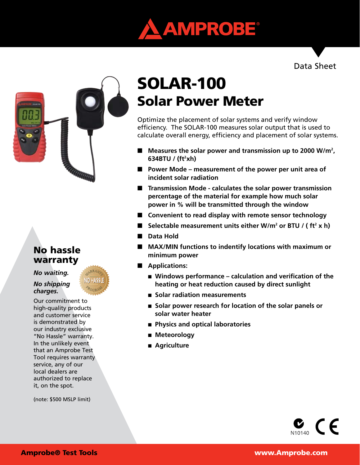

## Data Sheet



# No hassle warranty

*No waiting.* 

*No shipping charges.*

Our commitment to high-quality products and customer service is demonstrated by our industry exclusive "No Hassle" warranty. In the unlikely event that an Amprobe Test Tool requires warranty service, any of our local dealers are authorized to replace it, on the spot.

(note: \$500 MSLP limit)

# Solar Power Meter SOLAR-100

Optimize the placement of solar systems and verify window efficiency. The SOLAR-100 measures solar output that is used to calculate overall energy, efficiency and placement of solar systems.

- Measures the solar power and transmission up to 2000 W/m<sup>2</sup>, **634BTU / (ft2 xh)**
- Power Mode measurement of the power per unit area of **incident solar radiation**
- Transmission Mode calculates the solar power transmission **percentage of the material for example how much solar power in % will be transmitted through the window**
- **E** Convenient to read display with remote sensor technology
- Selectable measurement units either W/m<sup>2</sup> or BTU / (ft<sup>2</sup> x h)
- **n** Data Hold
- MAX/MIN functions to indentify locations with maximum or **minimum power**
- **n** Applications:
	- Windows performance calculation and verification of the  **heating or heat reduction caused by direct sunlight**
	- n **Solar radiation measurements**
	- Solar power research for location of the solar panels or  **solar water heater**
	- n **Physics and optical laboratories**
	- **n** Meteorology
	- Agriculture